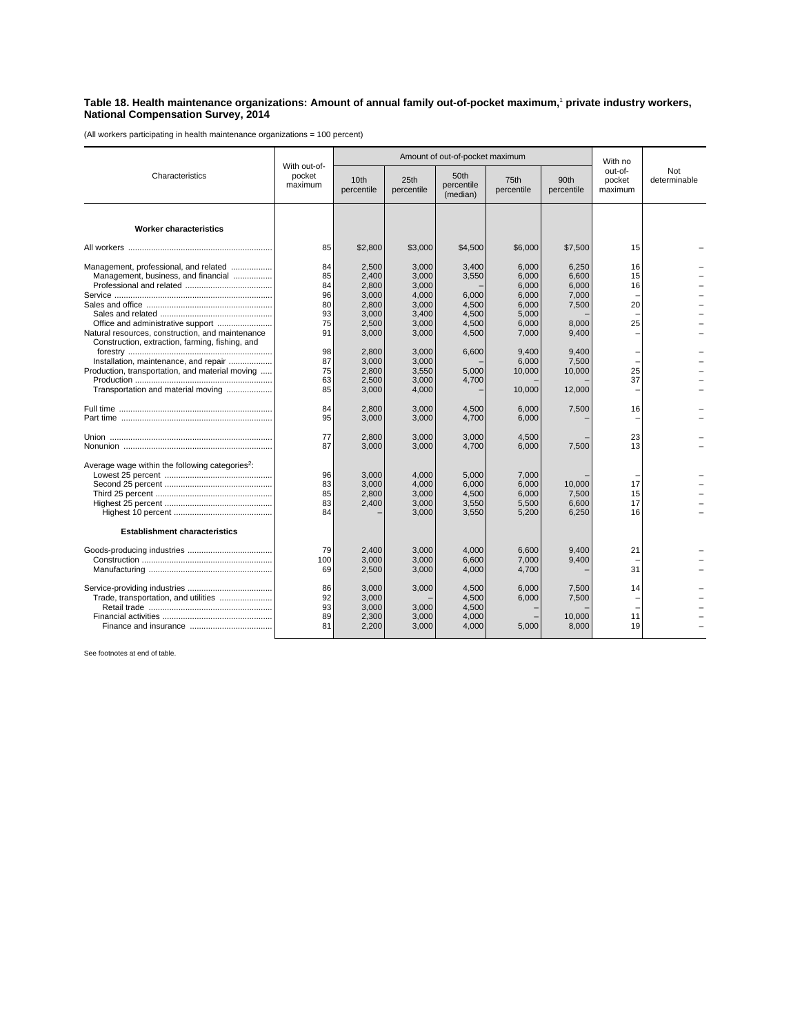## **Table 18. Health maintenance organizations: Amount of annual family out-of-pocket maximum,**<sup>1</sup>  **private industry workers, National Compensation Survey, 2014**

(All workers participating in health maintenance organizations = 100 percent)

| Characteristics                                                                                                                                                                   | With out-of-<br>pocket<br>maximum            |                                                                      | Amount of out-of-pocket maximum                                      | With no                                                     |                                                                      |                                                             |                              |                     |
|-----------------------------------------------------------------------------------------------------------------------------------------------------------------------------------|----------------------------------------------|----------------------------------------------------------------------|----------------------------------------------------------------------|-------------------------------------------------------------|----------------------------------------------------------------------|-------------------------------------------------------------|------------------------------|---------------------|
|                                                                                                                                                                                   |                                              | 10th<br>percentile                                                   | 25th<br>percentile                                                   | 50th<br>percentile<br>(median)                              | 75th<br>percentile                                                   | 90th<br>percentile                                          | out-of-<br>pocket<br>maximum | Not<br>determinable |
| <b>Worker characteristics</b>                                                                                                                                                     |                                              |                                                                      |                                                                      |                                                             |                                                                      |                                                             |                              |                     |
|                                                                                                                                                                                   | 85                                           | \$2,800                                                              | \$3,000                                                              | \$4,500                                                     | \$6,000                                                              | \$7,500                                                     | 15                           |                     |
| Management, professional, and related<br>Management, business, and financial<br>Natural resources, construction, and maintenance                                                  | 84<br>85<br>84<br>96<br>80<br>93<br>75<br>91 | 2,500<br>2,400<br>2,800<br>3,000<br>2,800<br>3.000<br>2,500<br>3,000 | 3,000<br>3,000<br>3,000<br>4,000<br>3,000<br>3.400<br>3,000<br>3,000 | 3,400<br>3,550<br>6,000<br>4,500<br>4.500<br>4,500<br>4,500 | 6,000<br>6,000<br>6,000<br>6,000<br>6,000<br>5.000<br>6,000<br>7,000 | 6,250<br>6,600<br>6,000<br>7,000<br>7,500<br>8,000<br>9,400 | 16<br>15<br>16<br>20<br>25   |                     |
| Construction, extraction, farming, fishing, and<br>Installation, maintenance, and repair<br>Production, transportation, and material moving<br>Transportation and material moving | 98<br>87<br>75<br>63<br>85                   | 2,800<br>3,000<br>2,800<br>2,500<br>3,000                            | 3,000<br>3,000<br>3,550<br>3,000<br>4,000                            | 6,600<br>5,000<br>4,700                                     | 9,400<br>6,000<br>10,000<br>10,000                                   | 9,400<br>7,500<br>10,000<br>12,000                          | 25<br>37                     |                     |
|                                                                                                                                                                                   | 84<br>95                                     | 2,800<br>3,000                                                       | 3,000<br>3,000                                                       | 4,500<br>4,700                                              | 6,000<br>6,000                                                       | 7,500                                                       | 16                           |                     |
|                                                                                                                                                                                   | 77<br>87                                     | 2,800<br>3,000                                                       | 3,000<br>3,000                                                       | 3.000<br>4,700                                              | 4.500<br>6,000                                                       | 7,500                                                       | 23<br>13                     |                     |
| Average wage within the following categories <sup>2</sup> :                                                                                                                       | 96<br>83<br>85<br>83<br>84                   | 3,000<br>3,000<br>2,800<br>2,400                                     | 4,000<br>4,000<br>3,000<br>3,000<br>3,000                            | 5,000<br>6,000<br>4,500<br>3,550<br>3,550                   | 7,000<br>6,000<br>6,000<br>5,500<br>5,200                            | 10,000<br>7,500<br>6,600<br>6,250                           | 17<br>15<br>17<br>16         |                     |
| <b>Establishment characteristics</b>                                                                                                                                              |                                              |                                                                      |                                                                      |                                                             |                                                                      |                                                             |                              |                     |
|                                                                                                                                                                                   | 79<br>100<br>69                              | 2.400<br>3,000<br>2,500                                              | 3.000<br>3,000<br>3,000                                              | 4.000<br>6,600<br>4,000                                     | 6.600<br>7,000<br>4,700                                              | 9.400<br>9,400                                              | 21<br>31                     |                     |
| Trade, transportation, and utilities                                                                                                                                              | 86<br>92<br>93<br>89<br>81                   | 3,000<br>3,000<br>3,000<br>2.300<br>2,200                            | 3,000<br>3,000<br>3,000<br>3,000                                     | 4,500<br>4,500<br>4,500<br>4,000<br>4,000                   | 6,000<br>6,000<br>5,000                                              | 7,500<br>7,500<br>10,000<br>8,000                           | 14<br>11<br>19               |                     |

See footnotes at end of table.